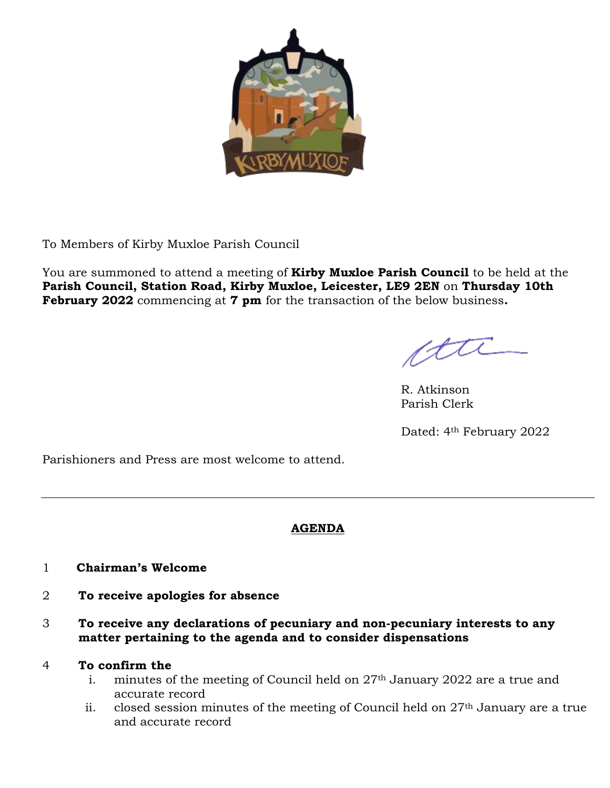

To Members of Kirby Muxloe Parish Council

You are summoned to attend a meeting of **Kirby Muxloe Parish Council** to be held at the **Parish Council, Station Road, Kirby Muxloe, Leicester, LE9 2EN** on **Thursday 10th February 2022** commencing at **7 pm** for the transaction of the below business**.**

R. Atkinson Parish Clerk

Dated: 4th February 2022

Parishioners and Press are most welcome to attend.

# **AGENDA**

- 1 **Chairman's Welcome**
- 2 **To receive apologies for absence**
- 3 **To receive any declarations of pecuniary and non-pecuniary interests to any matter pertaining to the agenda and to consider dispensations**

# 4 **To confirm the**

- i. minutes of the meeting of Council held on  $27<sup>th</sup>$  January 2022 are a true and accurate record
- ii. closed session minutes of the meeting of Council held on  $27<sup>th</sup>$  January are a true and accurate record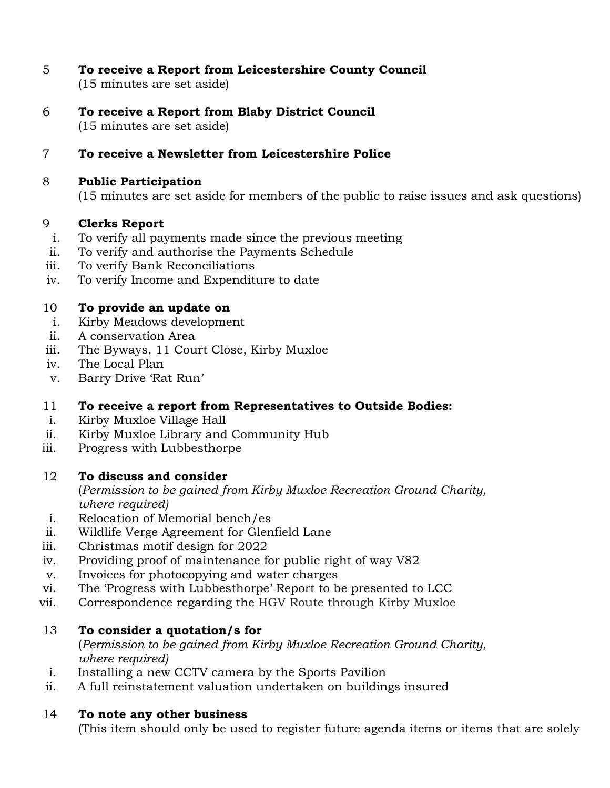- 5 **To receive a Report from Leicestershire County Council** (15 minutes are set aside)
- 6 **To receive a Report from Blaby District Council** (15 minutes are set aside)

### 7 **To receive a Newsletter from Leicestershire Police**

#### 8 **Public Participation**

(15 minutes are set aside for members of the public to raise issues and ask questions)

### 9 **Clerks Report**

- i. To verify all payments made since the previous meeting
- ii. To verify and authorise the Payments Schedule
- iii. To verify Bank Reconciliations
- iv. To verify Income and Expenditure to date

### 10 **To provide an update on**

- i. Kirby Meadows development
- ii. A conservation Area
- iii. The Byways, 11 Court Close, Kirby Muxloe
- iv. The Local Plan
- v. Barry Drive 'Rat Run'

### 11 **To receive a report from Representatives to Outside Bodies:**

- i. Kirby Muxloe Village Hall
- ii. Kirby Muxloe Library and Community Hub
- iii. Progress with Lubbesthorpe

### 12 **To discuss and consider**

(*Permission to be gained from Kirby Muxloe Recreation Ground Charity, where required)*

- i. Relocation of Memorial bench/es
- ii. Wildlife Verge Agreement for Glenfield Lane
- iii. Christmas motif design for 2022
- iv. Providing proof of maintenance for public right of way V82
- v. Invoices for photocopying and water charges
- vi. The 'Progress with Lubbesthorpe' Report to be presented to LCC
- vii. Correspondence regarding the HGV Route through Kirby Muxloe

### 13 **To consider a quotation/s for**

(*Permission to be gained from Kirby Muxloe Recreation Ground Charity, where required)*

- i. Installing a new CCTV camera by the Sports Pavilion
- ii. A full reinstatement valuation undertaken on buildings insured

### 14 **To note any other business**

(This item should only be used to register future agenda items or items that are solely